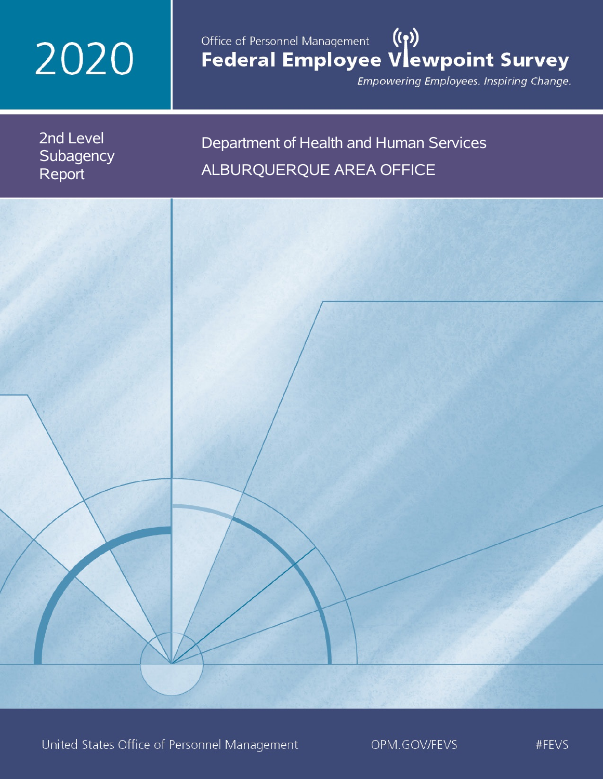# 2020

## Office of Personnel Management (())<br>Federal Employee Vlewpoint Survey

Empowering Employees. Inspiring Change.

2nd Level **Subagency** Report

## Department of Health and Human Services ALBURQUERQUE AREA OFFICE

United States Office of Personnel Management

OPM.GOV/FEVS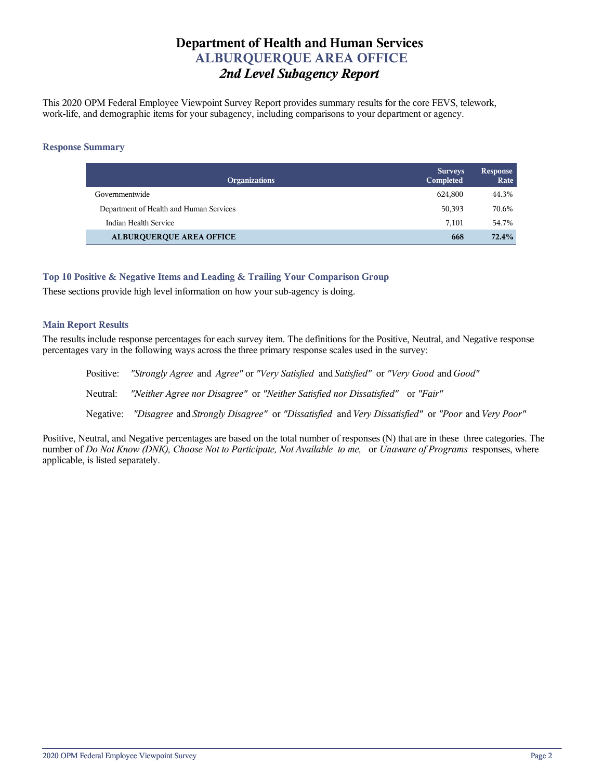## **Department of Health and Human Services ALBURQUERQUE AREA OFFICE** *2nd Level Subagency Report*

This 2020 OPM Federal Employee Viewpoint Survey Report provides summary results for the core FEVS, telework, work-life, and demographic items for your subagency, including comparisons to your department or agency.

#### **Response Summary**

| <b>Organizations</b>                    | <b>Surveys</b><br>Completed | <b>Response</b><br>Rate |
|-----------------------------------------|-----------------------------|-------------------------|
| Governmentwide                          | 624.800                     | 44.3%                   |
| Department of Health and Human Services | 50,393                      | 70.6%                   |
| Indian Health Service                   | 7.101                       | 54.7%                   |
| <b>ALBURQUERQUE AREA OFFICE</b>         | 668                         | 72.4%                   |

## **Top 10 Positive & Negative Items and Leading & Trailing Your Comparison Group**

These sections provide high level information on how your sub-agency is doing.

## **Main Report Results**

The results include response percentages for each survey item. The definitions for the Positive, Neutral, and Negative response percentages vary in the following ways across the three primary response scales used in the survey:

Positive: *"Strongly Agree* and *Agree"* or *"Very Satisfied* and *Satisfied"* or *"Very Good* and *Good"* Neutral: *"Neither Agree nor Disagree"* or *"Neither Satisfied nor Dissatisfied"* or *"Fair"* Negative: *"Disagree* and *Strongly Disagree"* or *"Dissatisfied* and *Very Dissatisfied"* or *"Poor* and *Very Poor"*

Positive, Neutral, and Negative percentages are based on the total number of responses (N) that are in these three categories. The number of *Do Not Know (DNK), Choose Not to Participate, Not Available to me,* or *Unaware of Programs* responses, where applicable, is listed separately.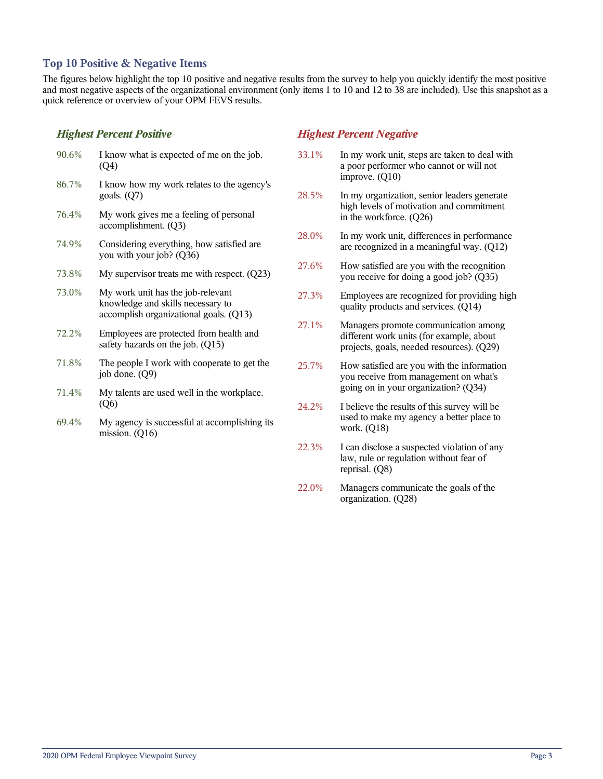## **Top 10 Positive & Negative Items**

The figures below highlight the top 10 positive and negative results from the survey to help you quickly identify the most positive and most negative aspects of the organizational environment (only items 1 to 10 and 12 to 38 are included). Use this snapshot as a quick reference or overview of your OPM FEVS results.

## *Highest Percent Positive*

| 90.6% | I know what is expected of me on the job.<br>(Q4)                                                                |
|-------|------------------------------------------------------------------------------------------------------------------|
| 86.7% | I know how my work relates to the agency's<br>goals. $(Q7)$                                                      |
| 76.4% | My work gives me a feeling of personal<br>accomplishment. (Q3)                                                   |
| 74.9% | Considering everything, how satisfied are<br>you with your job? (Q36)                                            |
| 73.8% | My supervisor treats me with respect. (Q23)                                                                      |
| 73.0% | My work unit has the job-relevant<br>knowledge and skills necessary to<br>accomplish organizational goals. (Q13) |
| 72.2% | Employees are protected from health and<br>safety hazards on the job. (Q15)                                      |
| 71.8% | The people I work with cooperate to get the<br>job done. (Q9)                                                    |
| 71.4% | My talents are used well in the workplace.<br>(Q6)                                                               |
|       |                                                                                                                  |

69.4% My agency is successful at accomplishing its mission. (Q16)

## *Highest Percent Negative*

- 33.1% In my work unit, steps are taken to deal with a poor performer who cannot or will not improve. (Q10)
- 28.5% In my organization, senior leaders generate high levels of motivation and commitment in the workforce. (Q26)
- 28.0% In my work unit, differences in performance are recognized in a meaningful way. (Q12)
- 27.6% How satisfied are you with the recognition you receive for doing a good job? (Q35)
- 27.3% Employees are recognized for providing high quality products and services. (Q14)
- 27.1% Managers promote communication among different work units (for example, about projects, goals, needed resources). (Q29)
- 25.7% How satisfied are you with the information you receive from management on what's going on in your organization? (Q34)
- 24.2% I believe the results of this survey will be used to make my agency a better place to work. (Q18)
- 22.3% I can disclose a suspected violation of any law, rule or regulation without fear of reprisal. (Q8)
- 22.0% Managers communicate the goals of the organization. (Q28)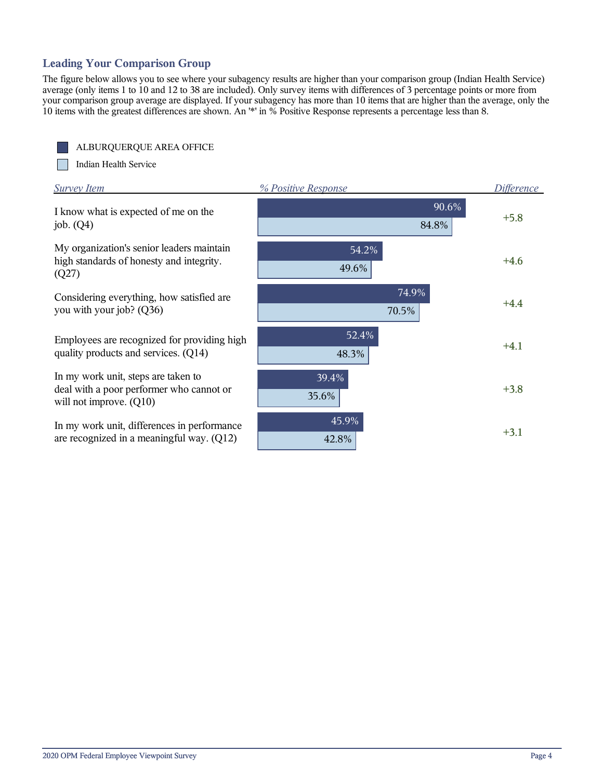## **Leading Your Comparison Group**

The figure below allows you to see where your subagency results are higher than your comparison group (Indian Health Service) average (only items 1 to 10 and 12 to 38 are included). Only survey items with differences of 3 percentage points or more from your comparison group average are displayed. If your subagency has more than 10 items that are higher than the average, only the 10 items with the greatest differences are shown. An '\*' in % Positive Response represents a percentage less than 8.



Indian Health Service I.

| Survey Item                                                                                                  | % Positive Response | <i>Difference</i> |
|--------------------------------------------------------------------------------------------------------------|---------------------|-------------------|
| I know what is expected of me on the<br>job. $(Q4)$                                                          | 90.6%<br>84.8%      | $+5.8$            |
| My organization's senior leaders maintain<br>high standards of honesty and integrity.<br>(Q27)               | 54.2%<br>49.6%      | $+4.6$            |
| Considering everything, how satisfied are<br>you with your job? (Q36)                                        | 74.9%<br>70.5%      | $+4.4$            |
| Employees are recognized for providing high<br>quality products and services. (Q14)                          | 52.4%<br>48.3%      | $+4.1$            |
| In my work unit, steps are taken to<br>deal with a poor performer who cannot or<br>will not improve. $(Q10)$ | 39.4%<br>35.6%      | $+3.8$            |
| In my work unit, differences in performance<br>are recognized in a meaningful way. (Q12)                     | 45.9%<br>42.8%      | $+3.1$            |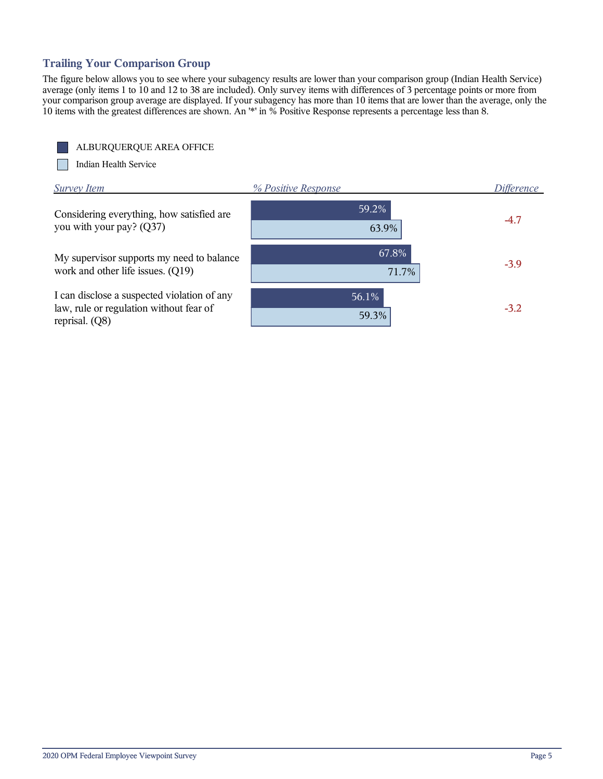## **Trailing Your Comparison Group**

The figure below allows you to see where your subagency results are lower than your comparison group (Indian Health Service) average (only items 1 to 10 and 12 to 38 are included). Only survey items with differences of 3 percentage points or more from your comparison group average are displayed. If your subagency has more than 10 items that are lower than the average, only the 10 items with the greatest differences are shown. An '\*' in % Positive Response represents a percentage less than 8.

ALBURQUERQUE AREA OFFICE

**The State** Indian Health Service

| <b>Survey Item</b>                                                                                         | % Positive Response | Difference |
|------------------------------------------------------------------------------------------------------------|---------------------|------------|
| Considering everything, how satisfied are<br>you with your pay? (Q37)                                      | 59.2%<br>63.9%      | $-4.7$     |
| My supervisor supports my need to balance<br>work and other life issues. (Q19)                             | 67.8%<br>71.7%      | $-3.9$     |
| I can disclose a suspected violation of any<br>law, rule or regulation without fear of<br>reprisal. $(Q8)$ | 56.1%<br>59.3%      | $-3.2$     |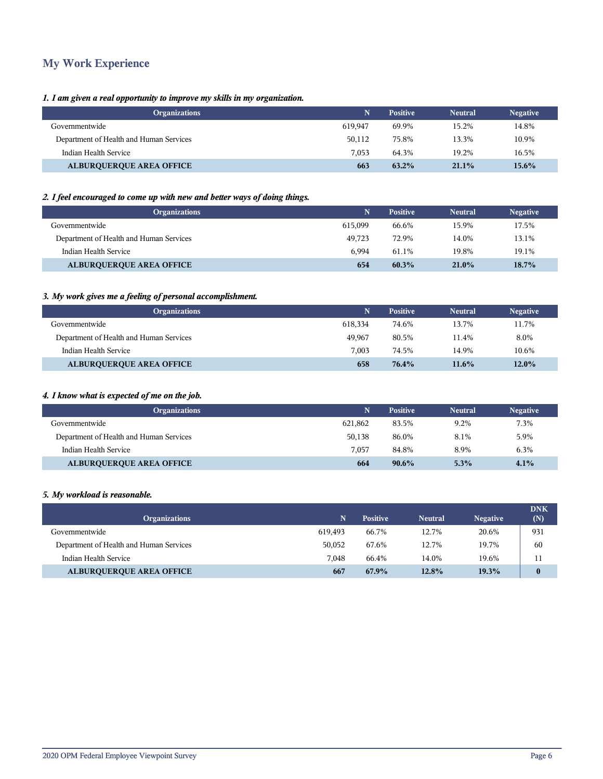## **My Work Experience**

## *1. I am given a real opportunity to improve my skills in my organization.*

| <b>Organizations</b>                    |         | <b>Positive</b> | <b>Neutral</b> | <b>Negative</b> |
|-----------------------------------------|---------|-----------------|----------------|-----------------|
| Governmentwide                          | 619.947 | 69.9%           | 15.2%          | 14.8%           |
| Department of Health and Human Services | 50.112  | 75.8%           | 13.3%          | 10.9%           |
| Indian Health Service                   | 7.053   | 64.3%           | 19.2%          | 16.5%           |
| <b>ALBURQUERQUE AREA OFFICE</b>         | 663     | $63.2\%$        | $21.1\%$       | 15.6%           |

## *2. I feel encouraged to come up with new and better ways of doing things.*

| <b>Organizations</b>                    |         | <b>Positive</b> | <b>Neutral</b> | <b>Negative</b> |
|-----------------------------------------|---------|-----------------|----------------|-----------------|
| Governmentwide                          | 615.099 | 66.6%           | 15.9%          | 17.5%           |
| Department of Health and Human Services | 49.723  | 72.9%           | 14.0%          | 13.1%           |
| Indian Health Service                   | 6.994   | 61.1%           | 19.8%          | 19.1%           |
| <b>ALBURQUERQUE AREA OFFICE</b>         | 654     | $60.3\%$        | 21.0%          | 18.7%           |

## *3. My work gives me a feeling of personal accomplishment.*

| <b>Organizations</b>                    |         | <b>Positive</b> | <b>Neutral</b> | <b>Negative</b> |
|-----------------------------------------|---------|-----------------|----------------|-----------------|
| Governmentwide                          | 618.334 | 74.6%           | 13.7%          | 11.7%           |
| Department of Health and Human Services | 49.967  | 80.5%           | 11.4%          | 8.0%            |
| Indian Health Service                   | 7.003   | 74.5%           | 14.9%          | 10.6%           |
| <b>ALBURQUERQUE AREA OFFICE</b>         | 658     | 76.4%           | $11.6\%$       | $12.0\%$        |

## *4. I know what is expected of me on the job.*

| <b>Organizations</b>                    |         | <b>Positive</b> | <b>Neutral</b> | <b>Negative</b> |
|-----------------------------------------|---------|-----------------|----------------|-----------------|
| Governmentwide                          | 621.862 | 83.5%           | 9.2%           | 7.3%            |
| Department of Health and Human Services | 50.138  | 86.0%           | 8.1%           | 5.9%            |
| Indian Health Service                   | 7.057   | 84.8%           | 8.9%           | 6.3%            |
| <b>ALBURQUERQUE AREA OFFICE</b>         | 664     | $90.6\%$        | 5.3%           | 4.1%            |

#### *5. My workload is reasonable.*

| <b>Organizations</b>                    | N       | <b>Positive</b> | <b>Neutral</b> | <b>Negative</b> | <b>DNK</b><br>(N) |
|-----------------------------------------|---------|-----------------|----------------|-----------------|-------------------|
| Governmentwide                          | 619.493 | 66.7%           | 12.7%          | 20.6%           | 931               |
| Department of Health and Human Services | 50,052  | 67.6%           | 12.7%          | 19.7%           | 60                |
| Indian Health Service                   | 7.048   | 66.4%           | 14.0%          | 19.6%           | 11                |
| <b>ALBURQUERQUE AREA OFFICE</b>         | 667     | 67.9%           | 12.8%          | 19.3%           | $\bf{0}$          |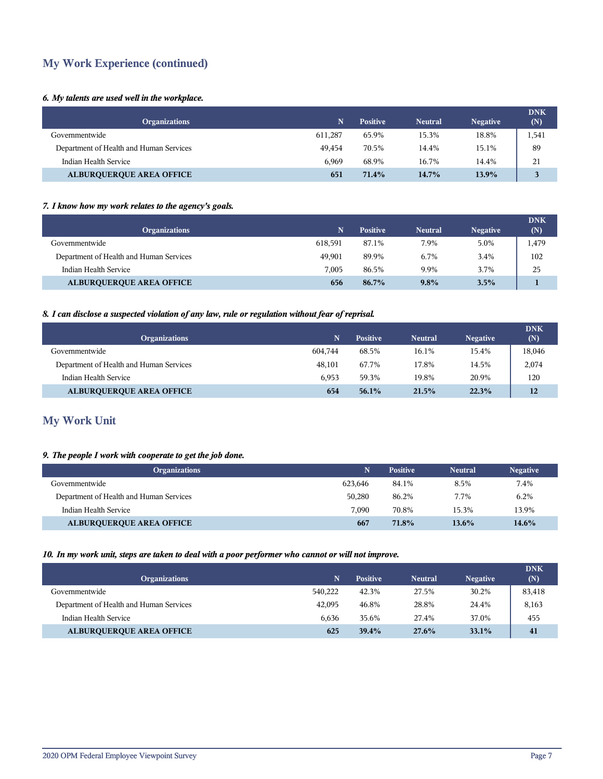## **My Work Experience (continued)**

## *6. My talents are used well in the workplace.*

| <b>Organizations</b>                    |         | <b>Positive</b> | <b>Neutral</b> | <b>Negative</b> | <b>DNK</b><br>(N) |
|-----------------------------------------|---------|-----------------|----------------|-----------------|-------------------|
| Governmentwide                          | 611.287 | 65.9%           | 15.3%          | 18.8%           | 1,541             |
| Department of Health and Human Services | 49.454  | 70.5%           | 14.4%          | 15.1%           | 89                |
| Indian Health Service                   | 6.969   | 68.9%           | 16.7%          | 14.4%           | 21                |
| <b>ALBURQUERQUE AREA OFFICE</b>         | 651     | 71.4%           | 14.7%          | 13.9%           | 3                 |

## *7. I know how my work relates to the agency's goals.*

| <b>Organizations</b>                    |         | <b>Positive</b> | <b>Neutral</b> | <b>Negative</b> | <b>DNK</b><br>(N) |
|-----------------------------------------|---------|-----------------|----------------|-----------------|-------------------|
| Governmentwide                          | 618.591 | 87.1%           | 7.9%           | 5.0%            | 1,479             |
| Department of Health and Human Services | 49.901  | 89.9%           | 6.7%           | 3.4%            | 102               |
| Indian Health Service                   | 7.005   | 86.5%           | 9.9%           | 3.7%            | 25                |
| <b>ALBURQUERQUE AREA OFFICE</b>         | 656     | 86.7%           | $9.8\%$        | 3.5%            |                   |

## *8. I can disclose a suspected violation of any law, rule or regulation without fear of reprisal.*

| <b>Organizations</b>                    |         | <b>Positive</b> | <b>Neutral</b> | <b>Negative</b> | <b>DNK</b><br>(N) |
|-----------------------------------------|---------|-----------------|----------------|-----------------|-------------------|
| Governmentwide                          | 604.744 | 68.5%           | 16.1%          | 15.4%           | 18,046            |
| Department of Health and Human Services | 48,101  | 67.7%           | 17.8%          | 14.5%           | 2,074             |
| Indian Health Service                   | 6.953   | 59.3%           | 19.8%          | 20.9%           | 120               |
| <b>ALBURQUERQUE AREA OFFICE</b>         | 654     | $56.1\%$        | 21.5%          | 22.3%           | 12                |

## **My Work Unit**

## *9. The people I work with cooperate to get the job done.*

| <b>Organizations</b>                    | Ñ       | <b>Positive</b> | <b>Neutral</b> | <b>Negative</b> |
|-----------------------------------------|---------|-----------------|----------------|-----------------|
| Governmentwide                          | 623.646 | 84.1%           | 8.5%           | 7.4%            |
| Department of Health and Human Services | 50.280  | 86.2%           | 7.7%           | 6.2%            |
| Indian Health Service                   | 7.090   | 70.8%           | 15.3%          | 13.9%           |
| <b>ALBURQUERQUE AREA OFFICE</b>         | 667     | 71.8%           | $13.6\%$       | 14.6%           |

## *10. In my work unit, steps are taken to deal with a poor performer who cannot or will not improve.*

| <b>Organizations</b>                    | N       | <b>Positive</b> | <b>Neutral</b> | <b>Negative</b> | <b>DNK</b><br>(N) |
|-----------------------------------------|---------|-----------------|----------------|-----------------|-------------------|
| Governmentwide                          | 540.222 | 42.3%           | 27.5%          | 30.2%           | 83,418            |
| Department of Health and Human Services | 42,095  | 46.8%           | 28.8%          | 24.4%           | 8,163             |
| Indian Health Service                   | 6.636   | 35.6%           | 27.4%          | 37.0%           | 455               |
| <b>ALBURQUERQUE AREA OFFICE</b>         | 625     | 39.4%           | 27.6%          | $33.1\%$        | 41                |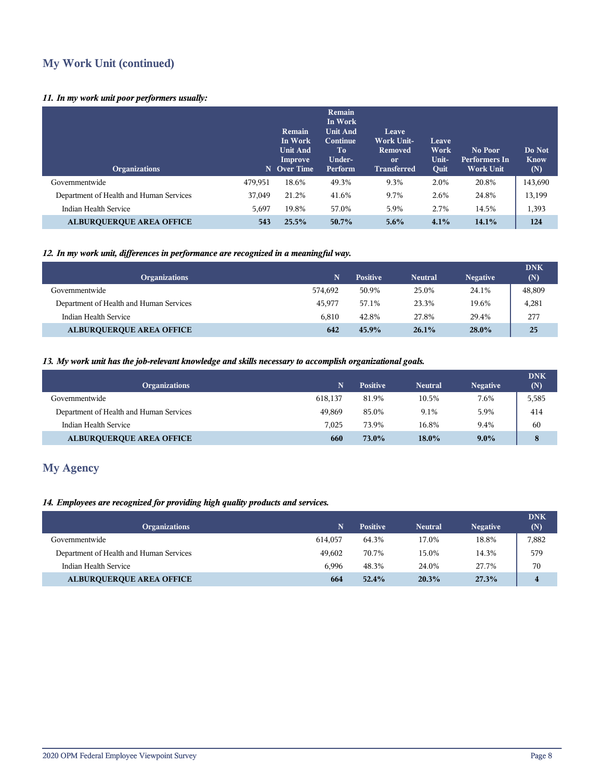## **My Work Unit (continued)**

## *11. In my work unit poor performers usually:*

| <b>Organizations</b>                    |         | <b>Remain</b><br>In Work<br><b>Unit And</b><br>Improve<br>N Over Time | Remain<br>In Work<br><b>Unit And</b><br>Continue<br>To<br>Under-<br>Perform | Leave<br><b>Work Unit-</b><br>Removed<br><sub>or</sub><br><b>Transferred</b> | Leave<br>Work<br>Unit-<br>Quit | No Poor<br>Performers In<br><b>Work Unit</b> | Do Not<br><b>Know</b><br>(N) |
|-----------------------------------------|---------|-----------------------------------------------------------------------|-----------------------------------------------------------------------------|------------------------------------------------------------------------------|--------------------------------|----------------------------------------------|------------------------------|
| Governmentwide                          | 479,951 | 18.6%                                                                 | 49.3%                                                                       | 9.3%                                                                         | 2.0%                           | 20.8%                                        | 143,690                      |
| Department of Health and Human Services | 37,049  | 21.2%                                                                 | 41.6%                                                                       | 9.7%                                                                         | 2.6%                           | 24.8%                                        | 13,199                       |
| Indian Health Service                   | 5,697   | 19.8%                                                                 | 57.0%                                                                       | 5.9%                                                                         | 2.7%                           | 14.5%                                        | 1,393                        |
| <b>ALBUROUEROUE AREA OFFICE</b>         | 543     | 25.5%                                                                 | 50.7%                                                                       | $5.6\%$                                                                      | 4.1%                           | 14.1%                                        | 124                          |

## *12. In my work unit, differences in performance are recognized in a meaningful way.*

| <b>Organizations</b>                    | N       | <b>Positive</b> | <b>Neutral</b> | <b>Negative</b> | <b>DNK</b><br>(N) |
|-----------------------------------------|---------|-----------------|----------------|-----------------|-------------------|
| Governmentwide                          | 574.692 | 50.9%           | 25.0%          | 24.1%           | 48,809            |
| Department of Health and Human Services | 45.977  | 57.1%           | 23.3%          | 19.6%           | 4,281             |
| Indian Health Service                   | 6.810   | 42.8%           | 27.8%          | 29.4%           | 277               |
| <b>ALBURQUERQUE AREA OFFICE</b>         | 642     | 45.9%           | $26.1\%$       | 28.0%           | 25                |

## *13. My work unit has the job-relevant knowledge and skills necessary to accomplish organizational goals.*

| <b>Organizations</b>                    |         | <b>Positive</b> | <b>Neutral</b> | <b>Negative</b> | <b>DNK</b><br>(N) |
|-----------------------------------------|---------|-----------------|----------------|-----------------|-------------------|
| Governmentwide                          | 618.137 | 81.9%           | 10.5%          | 7.6%            | 5,585             |
| Department of Health and Human Services | 49.869  | 85.0%           | 9.1%           | 5.9%            | 414               |
| Indian Health Service                   | 7.025   | 73.9%           | 16.8%          | 9.4%            | 60                |
| <b>ALBURQUERQUE AREA OFFICE</b>         | 660     | 73.0%           | $18.0\%$       | $9.0\%$         | 8                 |

## **My Agency**

## *14. Employees are recognized for providing high quality products and services.*

| <b>Organizations</b>                    | 'N.     | <b>Positive</b> | <b>Neutral</b> | <b>Negative</b> | <b>DNK</b><br>(N) |
|-----------------------------------------|---------|-----------------|----------------|-----------------|-------------------|
| Governmentwide                          | 614.057 | 64.3%           | 17.0%          | 18.8%           | 7,882             |
| Department of Health and Human Services | 49.602  | 70.7%           | 15.0%          | 14.3%           | 579               |
| Indian Health Service                   | 6.996   | 48.3%           | 24.0%          | 27.7%           | 70                |
| <b>ALBURQUERQUE AREA OFFICE</b>         | 664     | 52.4%           | 20.3%          | 27.3%           | $\overline{4}$    |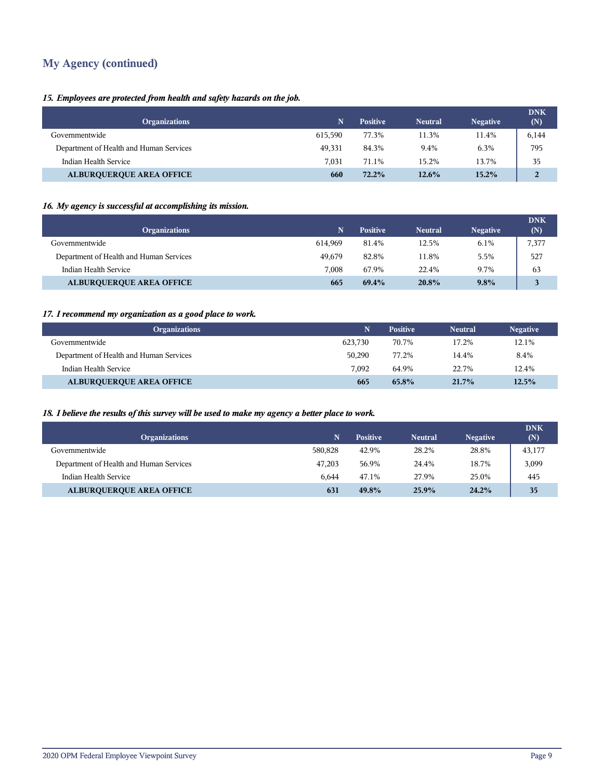## **My Agency (continued)**

## *15. Employees are protected from health and safety hazards on the job.*

| <b>Organizations</b>                    |         | <b>Positive</b> | <b>Neutral</b> | <b>Negative</b> | <b>DNK</b><br>(N) |
|-----------------------------------------|---------|-----------------|----------------|-----------------|-------------------|
| Governmentwide                          | 615.590 | 77.3%           | 11.3%          | 11.4%           | 6,144             |
| Department of Health and Human Services | 49,331  | 84.3%           | 9.4%           | 6.3%            | 795               |
| Indian Health Service                   | 7,031   | 71.1%           | 15.2%          | 13.7%           | 35                |
| <b>ALBURQUERQUE AREA OFFICE</b>         | 660     | $72.2\%$        | $12.6\%$       | $15.2\%$        | $\overline{2}$    |

## *16. My agency is successful at accomplishing its mission.*

| <b>Organizations</b>                    | 'N.     | <b>Positive</b> | <b>Neutral</b> | <b>Negative</b> | <b>DNK</b><br>(N) |
|-----------------------------------------|---------|-----------------|----------------|-----------------|-------------------|
| Governmentwide                          | 614.969 | 81.4%           | 12.5%          | 6.1%            | 7,377             |
| Department of Health and Human Services | 49.679  | 82.8%           | 11.8%          | 5.5%            | 527               |
| Indian Health Service                   | 7.008   | 67.9%           | 22.4%          | 9.7%            | 63                |
| <b>ALBURQUERQUE AREA OFFICE</b>         | 665     | 69.4%           | 20.8%          | $9.8\%$         | 3                 |

## *17. I recommend my organization as a good place to work.*

| <b>Organizations</b>                    |         | <b>Positive</b> | <b>Neutral</b> | <b>Negative</b> |
|-----------------------------------------|---------|-----------------|----------------|-----------------|
| Governmentwide                          | 623.730 | 70.7%           | 17.2%          | 12.1%           |
| Department of Health and Human Services | 50.290  | 77.2%           | 14.4%          | 8.4%            |
| Indian Health Service                   | 7.092   | 64.9%           | 22.7%          | 12.4%           |
| <b>ALBURQUERQUE AREA OFFICE</b>         | 665     | 65.8%           | $21.7\%$       | 12.5%           |

## *18. I believe the results of this survey will be used to make my agency a better place to work.*

| <b>Organizations</b>                    | N       | <b>Positive</b> | <b>Neutral</b> | <b>Negative</b> | <b>DNK</b><br>(N) |
|-----------------------------------------|---------|-----------------|----------------|-----------------|-------------------|
| Governmentwide                          | 580.828 | 42.9%           | 28.2%          | 28.8%           | 43,177            |
| Department of Health and Human Services | 47.203  | 56.9%           | 24.4%          | 18.7%           | 3,099             |
| Indian Health Service                   | 6.644   | 47.1%           | 27.9%          | 25.0%           | 445               |
| <b>ALBURQUERQUE AREA OFFICE</b>         | 631     | 49.8%           | 25.9%          | 24.2%           | 35                |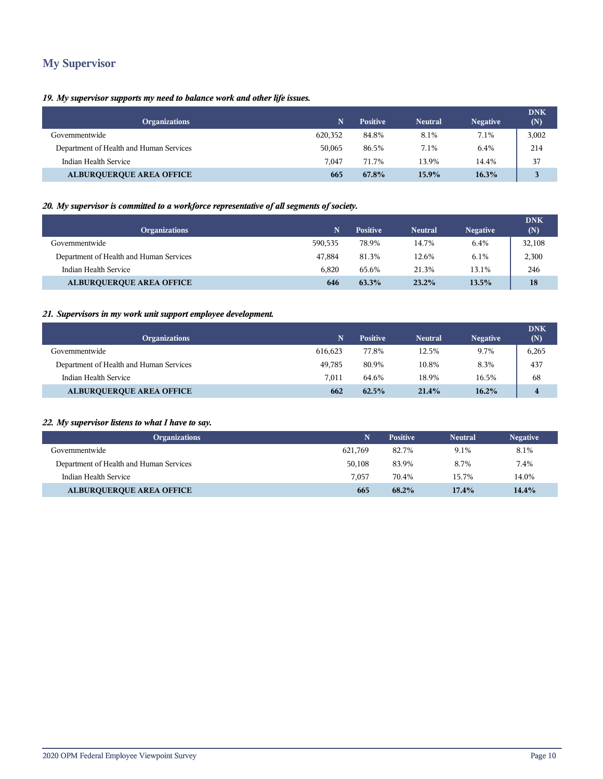## **My Supervisor**

## *19. My supervisor supports my need to balance work and other life issues.*

| <b>Organizations</b>                    |         | <b>Positive</b> | <b>Neutral</b> | <b>Negative</b> | <b>DNK</b><br>(N) |
|-----------------------------------------|---------|-----------------|----------------|-----------------|-------------------|
| Governmentwide                          | 620,352 | 84.8%           | 8.1%           | 7.1%            | 3,002             |
| Department of Health and Human Services | 50.065  | 86.5%           | 7.1%           | 6.4%            | 214               |
| Indian Health Service                   | 7.047   | 71.7%           | 13.9%          | 14.4%           | 37                |
| <b>ALBURQUERQUE AREA OFFICE</b>         | 665     | 67.8%           | 15.9%          | 16.3%           |                   |

## *20. My supervisor is committed to a workforce representative of all segments of society.*

| <b>Organizations</b>                    |         | <b>Positive</b> | <b>Neutral</b> | <b>Negative</b> | <b>DNK</b><br>(N) |
|-----------------------------------------|---------|-----------------|----------------|-----------------|-------------------|
| Governmentwide                          | 590.535 | 78.9%           | 14.7%          | 6.4%            | 32,108            |
| Department of Health and Human Services | 47.884  | 81.3%           | 12.6%          | $6.1\%$         | 2,300             |
| Indian Health Service                   | 6.820   | 65.6%           | 21.3%          | 13.1%           | 246               |
| <b>ALBURQUERQUE AREA OFFICE</b>         | 646     | 63.3%           | 23.2%          | 13.5%           | 18                |

## *21. Supervisors in my work unit support employee development.*

| <b>Organizations</b>                    | 'N.     | <b>Positive</b> | <b>Neutral</b> | <b>Negative</b> | <b>DNK</b><br>(N) |
|-----------------------------------------|---------|-----------------|----------------|-----------------|-------------------|
| Governmentwide                          | 616.623 | 77.8%           | 12.5%          | 9.7%            | 6,265             |
| Department of Health and Human Services | 49.785  | 80.9%           | 10.8%          | 8.3%            | 437               |
| Indian Health Service                   | 7.011   | 64.6%           | 18.9%          | 16.5%           | 68                |
| <b>ALBURQUERQUE AREA OFFICE</b>         | 662     | 62.5%           | 21.4%          | 16.2%           | $\overline{4}$    |

## *22. My supervisor listens to what I have to say.*

| <b>Organizations</b>                    |         | <b>Positive</b> | <b>Neutral</b> | <b>Negative</b> |
|-----------------------------------------|---------|-----------------|----------------|-----------------|
| Governmentwide                          | 621.769 | 82.7%           | 9.1%           | 8.1%            |
| Department of Health and Human Services | 50,108  | 83.9%           | 8.7%           | 7.4%            |
| Indian Health Service                   | 7.057   | 70.4%           | 15.7%          | 14.0%           |
| <b>ALBURQUERQUE AREA OFFICE</b>         | 665     | 68.2%           | 17.4%          | 14.4%           |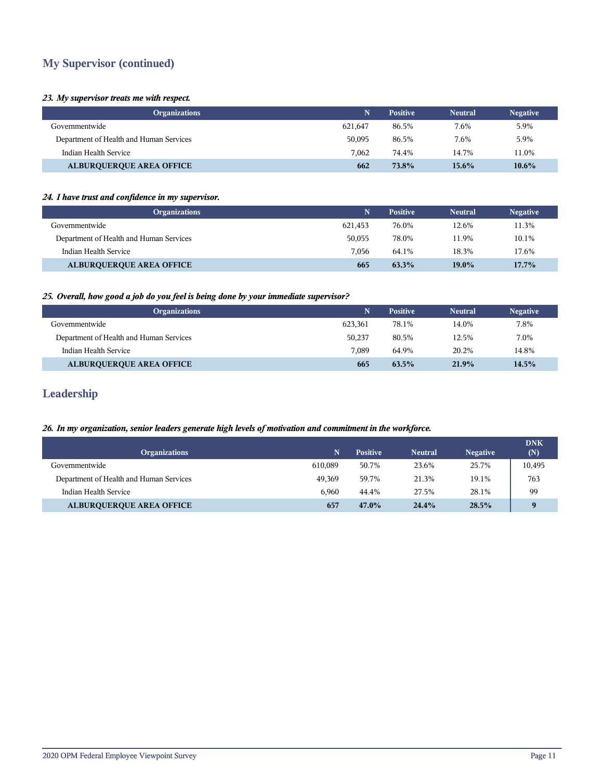## **My Supervisor (continued)**

#### *23. My supervisor treats me with respect.*

| <b>Organizations</b>                    |         | <b>Positive</b> | <b>Neutral</b> | <b>Negative</b> |
|-----------------------------------------|---------|-----------------|----------------|-----------------|
| Governmentwide                          | 621,647 | 86.5%           | 7.6%           | 5.9%            |
| Department of Health and Human Services | 50,095  | 86.5%           | 7.6%           | 5.9%            |
| Indian Health Service                   | 7.062   | 74.4%           | 14.7%          | 11.0%           |
| <b>ALBURQUERQUE AREA OFFICE</b>         | 662     | 73.8%           | 15.6%          | 10.6%           |

#### *24. I have trust and confidence in my supervisor.*

| <b>Organizations</b>                    | N       | <b>Positive</b> | <b>Neutral</b> | <b>Negative</b> |
|-----------------------------------------|---------|-----------------|----------------|-----------------|
| Governmentwide                          | 621.453 | 76.0%           | 12.6%          | 11.3%           |
| Department of Health and Human Services | 50.055  | 78.0%           | 11.9%          | 10.1%           |
| Indian Health Service                   | 7.056   | 64.1%           | 18.3%          | 17.6%           |
| <b>ALBURQUERQUE AREA OFFICE</b>         | 665     | 63.3%           | $19.0\%$       | $17.7\%$        |

## *25. Overall, how good a job do you feel is being done by your immediate supervisor?*

| <b>Organizations</b>                    | N       | <b>Positive</b> | <b>Neutral</b> | <b>Negative</b> |
|-----------------------------------------|---------|-----------------|----------------|-----------------|
| Governmentwide                          | 623.361 | 78.1%           | 14.0%          | 7.8%            |
| Department of Health and Human Services | 50,237  | 80.5%           | 12.5%          | 7.0%            |
| Indian Health Service                   | 7.089   | 64.9%           | 20.2%          | 14.8%           |
| <b>ALBURQUERQUE AREA OFFICE</b>         | 665     | $63.5\%$        | 21.9%          | 14.5%           |

## **Leadership**

#### *26. In my organization, senior leaders generate high levels of motivation and commitment in the workforce.*

|                                         |         |                 |                |                 | <b>DNK</b> |
|-----------------------------------------|---------|-----------------|----------------|-----------------|------------|
| <b>Organizations</b>                    |         | <b>Positive</b> | <b>Neutral</b> | <b>Negative</b> | (N)        |
| Governmentwide                          | 610.089 | 50.7%           | 23.6%          | 25.7%           | 10,495     |
| Department of Health and Human Services | 49.369  | 59.7%           | 21.3%          | 19.1%           | 763        |
| Indian Health Service                   | 6.960   | 44.4%           | 27.5%          | 28.1%           | 99         |
| <b>ALBURQUERQUE AREA OFFICE</b>         | 657     | 47.0%           | 24.4%          | 28.5%           | $\bf{o}$   |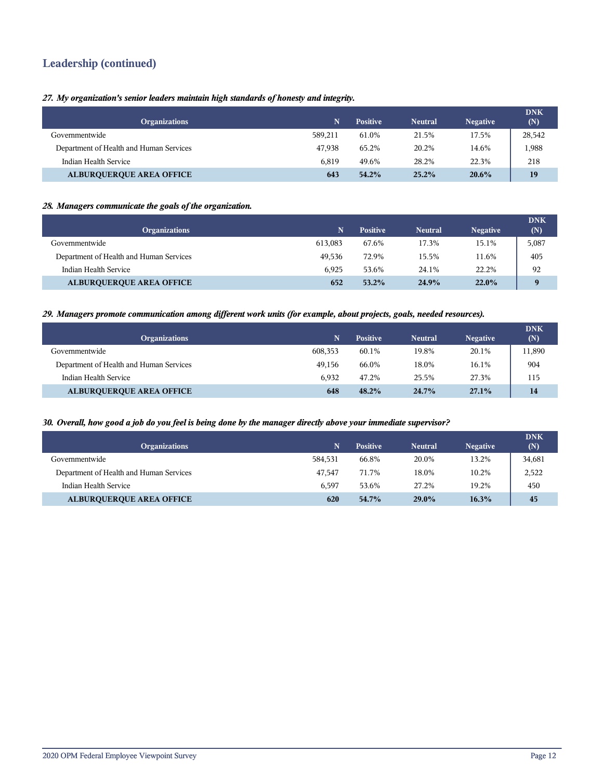## **Leadership (continued)**

*27. My organization's senior leaders maintain high standards of honesty and integrity.*

| <b>Organizations</b>                    | N       | <b>Positive</b> | <b>Neutral</b> | <b>Negative</b> | <b>DNK</b><br>(N) |
|-----------------------------------------|---------|-----------------|----------------|-----------------|-------------------|
| Governmentwide                          | 589.211 | 61.0%           | 21.5%          | 17.5%           | 28,542            |
| Department of Health and Human Services | 47.938  | 65.2%           | 20.2%          | 14.6%           | 1,988             |
| Indian Health Service                   | 6.819   | 49.6%           | 28.2%          | 22.3%           | 218               |
| <b>ALBURQUERQUE AREA OFFICE</b>         | 643     | $54.2\%$        | $25.2\%$       | 20.6%           | 19                |

## *28. Managers communicate the goals of the organization.*

| <b>Organizations</b>                    |         | <b>Positive</b> | <b>Neutral</b> | <b>Negative</b> | <b>DNK</b><br>(N) |
|-----------------------------------------|---------|-----------------|----------------|-----------------|-------------------|
| Governmentwide                          | 613.083 | 67.6%           | 17.3%          | 15.1%           | 5,087             |
| Department of Health and Human Services | 49.536  | 72.9%           | 15.5%          | 11.6%           | 405               |
| Indian Health Service                   | 6.925   | 53.6%           | 24.1%          | 22.2%           | 92                |
| <b>ALBURQUERQUE AREA OFFICE</b>         | 652     | $53.2\%$        | 24.9%          | $22.0\%$        | $\bf{Q}$          |

#### *29. Managers promote communication among different work units (for example, about projects, goals, needed resources).*

| <b>Organizations</b>                    |         | <b>Positive</b> | <b>Neutral</b> | <b>Negative</b> | <b>DNK</b><br>(N) |
|-----------------------------------------|---------|-----------------|----------------|-----------------|-------------------|
| Governmentwide                          | 608.353 | 60.1%           | 19.8%          | 20.1%           | 11,890            |
| Department of Health and Human Services | 49.156  | 66.0%           | 18.0%          | 16.1%           | 904               |
| Indian Health Service                   | 6.932   | 47.2%           | 25.5%          | 27.3%           | 115               |
| <b>ALBURQUERQUE AREA OFFICE</b>         | 648     | $48.2\%$        | $24.7\%$       | 27.1%           | 14                |

#### *30. Overall, how good a job do you feel is being done by the manager directly above your immediate supervisor?*

| <b>Organizations</b>                    | N       | <b>Positive</b> | <b>Neutral</b> | <b>Negative</b> | <b>DNK</b><br>(N) |
|-----------------------------------------|---------|-----------------|----------------|-----------------|-------------------|
| Governmentwide                          | 584.531 | 66.8%           | 20.0%          | 13.2%           | 34,681            |
| Department of Health and Human Services | 47.547  | 71.7%           | 18.0%          | 10.2%           | 2,522             |
| Indian Health Service                   | 6.597   | 53.6%           | 27.2%          | 19.2%           | 450               |
| <b>ALBUROUEROUE AREA OFFICE</b>         | 620     | 54.7%           | $29.0\%$       | 16.3%           | 45                |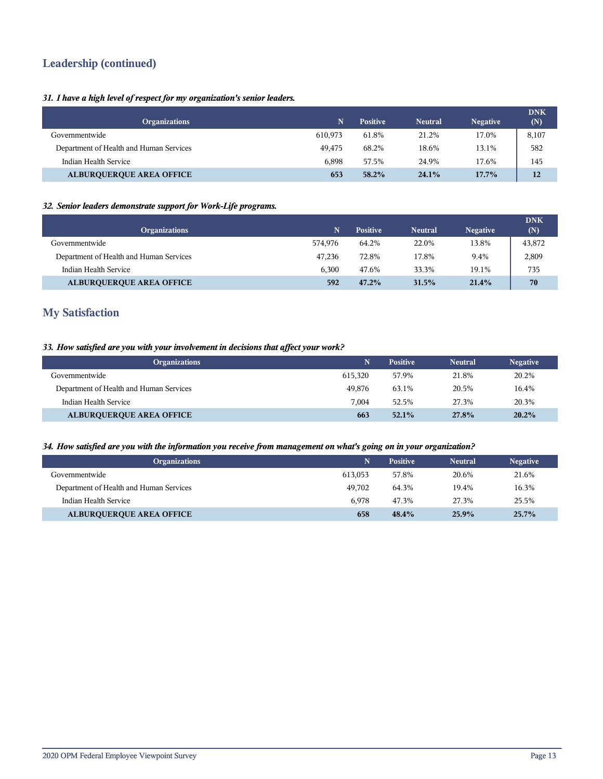## **Leadership (continued)**

## *31. I have a high level of respect for my organization's senior leaders.*

| <b>Organizations</b>                    |         | <b>Positive</b> | <b>Neutral</b> | <b>Negative</b> | <b>DNK</b><br>(N) |
|-----------------------------------------|---------|-----------------|----------------|-----------------|-------------------|
| Governmentwide                          | 610.973 | 61.8%           | 21.2%          | 17.0%           | 8,107             |
| Department of Health and Human Services | 49.475  | 68.2%           | 18.6%          | 13.1%           | 582               |
| Indian Health Service                   | 6.898   | 57.5%           | 24.9%          | 17.6%           | 145               |
| <b>ALBURQUERQUE AREA OFFICE</b>         | 653     | 58.2%           | 24.1%          | $17.7\%$        | 12                |

## *32. Senior leaders demonstrate support for Work-Life programs.*

| <b>Organizations</b>                    | N       | <b>Positive</b> | <b>Neutral</b> | <b>Negative</b> | <b>DNK</b><br>(N) |
|-----------------------------------------|---------|-----------------|----------------|-----------------|-------------------|
| Governmentwide                          | 574.976 | 64.2%           | 22.0%          | 13.8%           | 43,872            |
| Department of Health and Human Services | 47.236  | 72.8%           | 17.8%          | 9.4%            | 2,809             |
| Indian Health Service                   | 6.300   | 47.6%           | 33.3%          | 19.1%           | 735               |
| <b>ALBURQUERQUE AREA OFFICE</b>         | 592     | $47.2\%$        | 31.5%          | 21.4%           | 70                |

## **My Satisfaction**

## *33. How satisfied are you with your involvement in decisions that affect your work?*

| <b>Organizations</b>                    |         | <b>Positive</b> | <b>Neutral</b> | <b>Negative</b> |
|-----------------------------------------|---------|-----------------|----------------|-----------------|
| Governmentwide                          | 615.320 | 57.9%           | 21.8%          | 20.2%           |
| Department of Health and Human Services | 49.876  | 63.1%           | 20.5%          | 16.4%           |
| Indian Health Service                   | 7.004   | 52.5%           | 27.3%          | 20.3%           |
| <b>ALBURQUERQUE AREA OFFICE</b>         | 663     | $52.1\%$        | 27.8%          | 20.2%           |

#### *34. How satisfied are you with the information you receive from management on what's going on in your organization?*

| <b>Organizations</b>                    | N       | <b>Positive</b> | <b>Neutral</b> | <b>Negative</b> |
|-----------------------------------------|---------|-----------------|----------------|-----------------|
| Governmentwide                          | 613.053 | 57.8%           | 20.6%          | 21.6%           |
| Department of Health and Human Services | 49.702  | 64.3%           | 19.4%          | 16.3%           |
| Indian Health Service                   | 6.978   | 47.3%           | 27.3%          | 25.5%           |
| <b>ALBURQUERQUE AREA OFFICE</b>         | 658     | 48.4%           | 25.9%          | 25.7%           |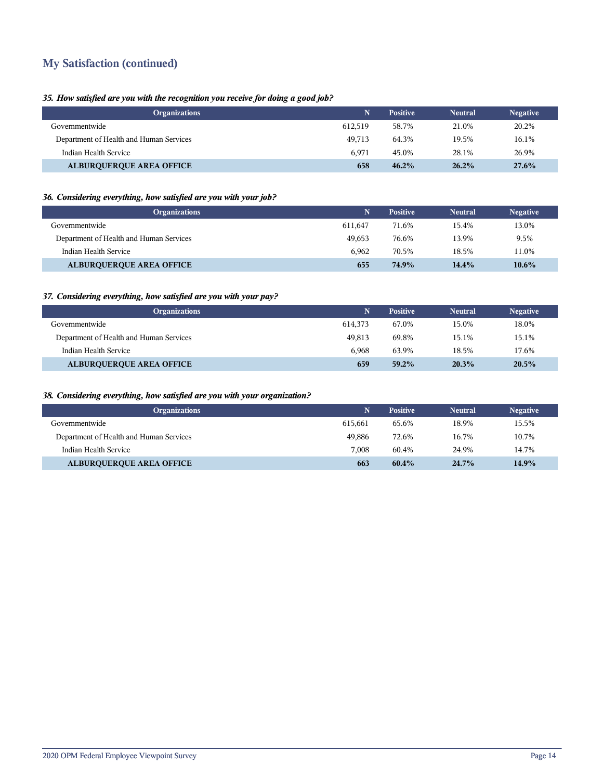## **My Satisfaction (continued)**

## *35. How satisfied are you with the recognition you receive for doing a good job?*

| <b>Organizations</b>                    |         | <b>Positive</b> | <b>Neutral</b> | <b>Negative</b> |
|-----------------------------------------|---------|-----------------|----------------|-----------------|
| Governmentwide                          | 612.519 | 58.7%           | 21.0%          | 20.2%           |
| Department of Health and Human Services | 49.713  | 64.3%           | 19.5%          | 16.1%           |
| Indian Health Service                   | 6.971   | 45.0%           | 28.1%          | 26.9%           |
| <b>ALBURQUERQUE AREA OFFICE</b>         | 658     | $46.2\%$        | $26.2\%$       | 27.6%           |

## *36. Considering everything, how satisfied are you with your job?*

| <b>Organizations</b>                    |         | <b>Positive</b> | <b>Neutral</b> | <b>Negative</b> |
|-----------------------------------------|---------|-----------------|----------------|-----------------|
| Governmentwide                          | 611.647 | 71.6%           | 15.4%          | 13.0%           |
| Department of Health and Human Services | 49.653  | 76.6%           | 13.9%          | 9.5%            |
| Indian Health Service                   | 6.962   | 70.5%           | 18.5%          | 11.0%           |
| <b>ALBURQUERQUE AREA OFFICE</b>         | 655     | 74.9%           | 14.4%          | $10.6\%$        |

## *37. Considering everything, how satisfied are you with your pay?*

| <b>Organizations</b>                    |         | <b>Positive</b> | <b>Neutral</b> | <b>Negative</b> |
|-----------------------------------------|---------|-----------------|----------------|-----------------|
| Governmentwide                          | 614.373 | 67.0%           | 15.0%          | 18.0%           |
| Department of Health and Human Services | 49.813  | 69.8%           | 15.1%          | 15.1%           |
| Indian Health Service                   | 6.968   | 63.9%           | 18.5%          | 17.6%           |
| <b>ALBURQUERQUE AREA OFFICE</b>         | 659     | 59.2%           | 20.3%          | 20.5%           |

## *38. Considering everything, how satisfied are you with your organization?*

| <b>Organizations</b>                    |         | <b>Positive</b> | <b>Neutral</b> | <b>Negative</b> |
|-----------------------------------------|---------|-----------------|----------------|-----------------|
| Governmentwide                          | 615.661 | 65.6%           | 18.9%          | 15.5%           |
| Department of Health and Human Services | 49.886  | 72.6%           | 16.7%          | 10.7%           |
| Indian Health Service                   | 7.008   | 60.4%           | 24.9%          | 14.7%           |
| <b>ALBURQUERQUE AREA OFFICE</b>         | 663     | $60.4\%$        | $24.7\%$       | 14.9%           |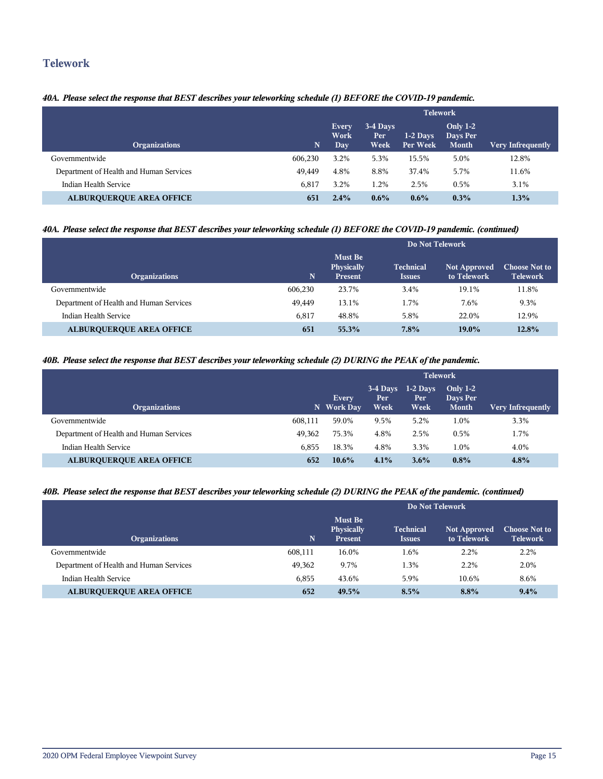## **Telework**

## *40A. Please select the response that BEST describes your teleworking schedule (1) BEFORE the COVID-19 pandemic.*

|                                         |         | <b>Telework</b>              |                         |                        |                                             |                          |  |  |
|-----------------------------------------|---------|------------------------------|-------------------------|------------------------|---------------------------------------------|--------------------------|--|--|
| <b>Organizations</b>                    | N       | <b>Every</b><br>Work<br>Day. | 3-4 Days<br>Per<br>Week | $1-2$ Days<br>Per Week | <b>Only 1-2</b><br>Days Per<br><b>Month</b> | <b>Very Infrequently</b> |  |  |
| Governmentwide                          | 606.230 | 3.2%                         | 5.3%                    | 15.5%                  | 5.0%                                        | 12.8%                    |  |  |
| Department of Health and Human Services | 49.449  | 4.8%                         | 8.8%                    | 37.4%                  | 5.7%                                        | 11.6%                    |  |  |
| Indian Health Service                   | 6.817   | 3.2%                         | 1.2%                    | 2.5%                   | 0.5%                                        | 3.1%                     |  |  |
| <b>ALBUROUEROUE AREA OFFICE</b>         | 651     | $2.4\%$                      | $0.6\%$                 | $0.6\%$                | $0.3\%$                                     | 1.3%                     |  |  |

## *40A. Please select the response that BEST describes your teleworking schedule (1) BEFORE the COVID-19 pandemic. (continued)*

|                                         | Do Not Telework |                                                |                                   |                                    |                                         |  |
|-----------------------------------------|-----------------|------------------------------------------------|-----------------------------------|------------------------------------|-----------------------------------------|--|
| <b>Organizations</b>                    | N               | <b>Must Be</b><br>Physically<br><b>Present</b> | <b>Technical</b><br><i>Issues</i> | <b>Not Approved</b><br>to Telework | <b>Choose Not to</b><br><b>Telework</b> |  |
| Governmentwide                          | 606.230         | 23.7%                                          | 3.4%                              | 19.1%                              | 11.8%                                   |  |
| Department of Health and Human Services | 49.449          | 13.1%                                          | 1.7%                              | 7.6%                               | 9.3%                                    |  |
| Indian Health Service                   | 6,817           | 48.8%                                          | 5.8%                              | 22.0%                              | 12.9%                                   |  |
| <b>ALBURQUERQUE AREA OFFICE</b>         | 651             | 55.3%                                          | 7.8%                              | $19.0\%$                           | 12.8%                                   |  |

#### *40B. Please select the response that BEST describes your teleworking schedule (2) DURING the PEAK of the pandemic.*

|                                         |        | <b>Telework</b>            |                         |                            |                                        |                          |  |
|-----------------------------------------|--------|----------------------------|-------------------------|----------------------------|----------------------------------------|--------------------------|--|
| <b>Organizations</b>                    |        | <b>Every</b><br>N Work Day | 3-4 Days<br>Per<br>Week | $1-2$ Days<br>Per.<br>Week | Only $1-2$<br>Days Per<br><b>Month</b> | <b>Very Infrequently</b> |  |
| Governmentwide<br>608.111               |        | 59.0%                      | 9.5%                    | 5.2%                       | 1.0%                                   | 3.3%                     |  |
| Department of Health and Human Services | 49.362 | 75.3%                      | 4.8%                    | 2.5%                       | 0.5%                                   | 1.7%                     |  |
| Indian Health Service                   | 6.855  | 18.3%                      | 4.8%                    | 3.3%                       | 1.0%                                   | 4.0%                     |  |
| <b>ALBURQUERQUE AREA OFFICE</b>         | 652    | $10.6\%$                   | 4.1%                    | $3.6\%$                    | $0.8\%$                                | 4.8%                     |  |

## *40B. Please select the response that BEST describes your teleworking schedule (2) DURING the PEAK of the pandemic. (continued)*

|                                         |         | Do Not Telework                                |                                                 |                                    |                                         |  |  |
|-----------------------------------------|---------|------------------------------------------------|-------------------------------------------------|------------------------------------|-----------------------------------------|--|--|
| <b>Organizations</b>                    | N       | <b>Must Be</b><br>Physically<br><b>Present</b> | <b>Technical</b><br><i><u><b>Issues</b></u></i> | <b>Not Approved</b><br>to Telework | <b>Choose Not to</b><br><b>Telework</b> |  |  |
| Governmentwide                          | 608,111 | 16.0%                                          | 1.6%                                            | 2.2%                               | 2.2%                                    |  |  |
| Department of Health and Human Services | 49.362  | 9.7%                                           | 1.3%                                            | 2.2%                               | 2.0%                                    |  |  |
| Indian Health Service                   | 6,855   | 43.6%                                          | 5.9%                                            | 10.6%                              | 8.6%                                    |  |  |
| <b>ALBURQUERQUE AREA OFFICE</b>         | 652     | 49.5%                                          | 8.5%                                            | 8.8%                               | $9.4\%$                                 |  |  |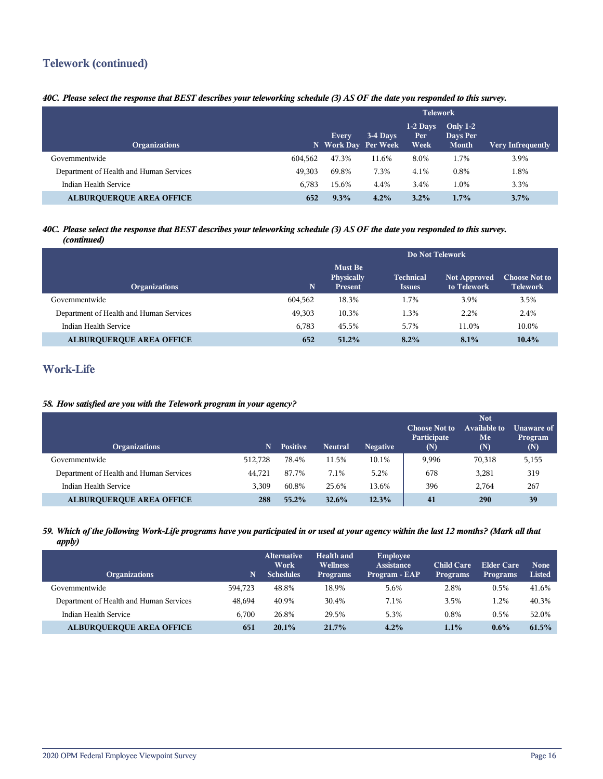## **Telework (continued)**

## *40C. Please select the response that BEST describes your teleworking schedule (3) AS OF the date you responded to this survey.*

|                                         |         | <b>Telework</b>                     |          |                           |                                             |                          |
|-----------------------------------------|---------|-------------------------------------|----------|---------------------------|---------------------------------------------|--------------------------|
| <b>Organizations</b>                    |         | <b>Every</b><br>N Work Day Per Week | 3-4 Days | $1-2$ Days<br>Per<br>Week | <b>Only 1-2</b><br>Days Per<br><b>Month</b> | <b>Very Infrequently</b> |
| Governmentwide                          | 604.562 | 47.3%                               | 11.6%    | 8.0%                      | 1.7%                                        | 3.9%                     |
| Department of Health and Human Services | 49.303  | 69.8%                               | 7.3%     | 4.1%                      | 0.8%                                        | 1.8%                     |
| <b>Indian Health Service</b>            | 6.783   | 15.6%                               | 4.4%     | 3.4%                      | 1.0%                                        | 3.3%                     |
| <b>ALBURQUERQUE AREA OFFICE</b>         | 652     | $9.3\%$                             | 4.2%     | $3.2\%$                   | $1.7\%$                                     | 3.7%                     |

#### *40C. Please select the response that BEST describes your teleworking schedule (3) AS OF the date you responded to this survey. (continued)*

|                                         |         | Do Not Telework                                |                                   |                                    |                                         |  |
|-----------------------------------------|---------|------------------------------------------------|-----------------------------------|------------------------------------|-----------------------------------------|--|
| <b>Organizations</b>                    | N.      | <b>Must Be</b><br>Physically<br><b>Present</b> | <b>Technical</b><br><b>Issues</b> | <b>Not Approved</b><br>to Telework | <b>Choose Not to</b><br><b>Telework</b> |  |
| Governmentwide                          | 604.562 | 18.3%                                          | 1.7%                              | 3.9%                               | 3.5%                                    |  |
| Department of Health and Human Services | 49,303  | 10.3%                                          | 1.3%                              | 2.2%                               | 2.4%                                    |  |
| Indian Health Service                   | 6.783   | 45.5%                                          | 5.7%                              | 11.0%                              | 10.0%                                   |  |
| <b>ALBURQUERQUE AREA OFFICE</b>         | 652     | $51.2\%$                                       | 8.2%                              | 8.1%                               | 10.4%                                   |  |

## **Work-Life**

## *58. How satisfied are you with the Telework program in your agency?*

| <b>Organizations</b>                    |         | <b>Positive</b> | <b>Neutral</b> | <b>Negative</b> | <b>Choose Not to</b><br>Participate<br>(N) | <b>Not</b><br><b>Available to</b><br>Me<br>(N) | Unaware of<br>Program<br>(N) |
|-----------------------------------------|---------|-----------------|----------------|-----------------|--------------------------------------------|------------------------------------------------|------------------------------|
| Governmentwide                          | 512.728 | 78.4%           | 11.5%          | 10.1%           | 9,996                                      | 70,318                                         | 5,155                        |
| Department of Health and Human Services | 44,721  | 87.7%           | 7.1%           | 5.2%            | 678                                        | 3,281                                          | 319                          |
| Indian Health Service                   | 3.309   | 60.8%           | 25.6%          | 13.6%           | 396                                        | 2.764                                          | 267                          |
| <b>ALBUROUEROUE AREA OFFICE</b>         | 288     | $55.2\%$        | 32.6%          | 12.3%           | 41                                         | 290                                            | 39                           |

#### *59. Which of the following Work-Life programs have you participated in or used at your agency within the last 12 months? (Mark all that apply)*

| <b>Organizations</b>                    | N       | <b>Alternative</b><br>Work<br><b>Schedules</b> | Health and<br><b>Wellness</b><br><b>Programs</b> | Employee<br>Assistance<br>Program - EAP | <b>Child Care</b><br><b>Programs</b> | Elder Care<br><b>Programs</b> | <b>None</b><br><b>Listed</b> |
|-----------------------------------------|---------|------------------------------------------------|--------------------------------------------------|-----------------------------------------|--------------------------------------|-------------------------------|------------------------------|
| Governmentwide                          | 594.723 | 48.8%                                          | 18.9%                                            | 5.6%                                    | 2.8%                                 | 0.5%                          | 41.6%                        |
| Department of Health and Human Services | 48.694  | 40.9%                                          | 30.4%                                            | 7.1%                                    | 3.5%                                 | 1.2%                          | 40.3%                        |
| Indian Health Service                   | 6.700   | 26.8%                                          | 29.5%                                            | 5.3%                                    | 0.8%                                 | 0.5%                          | 52.0%                        |
| <b>ALBUROUEROUE AREA OFFICE</b>         | 651     | 20.1%                                          | $21.7\%$                                         | 4.2%                                    | 1.1%                                 | $0.6\%$                       | 61.5%                        |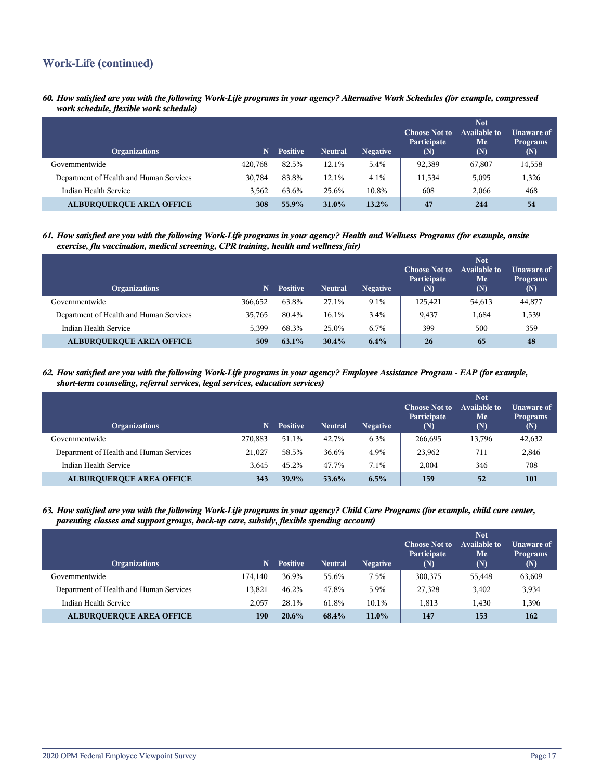## **Work-Life (continued)**

*60. How satisfied are you with the following Work-Life programs in your agency? Alternative Work Schedules (for example, compressed work schedule, flexible work schedule)*

| <b>Organizations</b>                    | N       | <b>Positive</b> | <b>Neutral</b> | <b>Negative</b> | <b>Choose Not to</b><br>Participate<br>(N) | <b>Not</b><br><b>Available to</b><br>Me<br>(N) | Unaware of<br><b>Programs</b><br>(N) |
|-----------------------------------------|---------|-----------------|----------------|-----------------|--------------------------------------------|------------------------------------------------|--------------------------------------|
| Governmentwide                          | 420.768 | 82.5%           | 12.1%          | 5.4%            | 92,389                                     | 67,807                                         | 14,558                               |
| Department of Health and Human Services | 30.784  | 83.8%           | 12.1%          | 4.1%            | 11,534                                     | 5,095                                          | 1,326                                |
| Indian Health Service                   | 3.562   | 63.6%           | 25.6%          | 10.8%           | 608                                        | 2,066                                          | 468                                  |
| <b>ALBURQUERQUE AREA OFFICE</b>         | 308     | 55.9%           | 31.0%          | 13.2%           | 47                                         | 244                                            | 54                                   |

*61. How satisfied are you with the following Work-Life programs in your agency? Health and Wellness Programs (for example, onsite exercise, flu vaccination, medical screening, CPR training, health and wellness fair)*

| <b>Organizations</b>                    | N       | <b>Positive</b> | <b>Neutral</b> | <b>Negative</b> | <b>Choose Not to</b><br>Participate<br>(N) | <b>Not</b><br>Available to<br>Me<br>(N) | Unaware of<br><b>Programs</b><br>(N) |
|-----------------------------------------|---------|-----------------|----------------|-----------------|--------------------------------------------|-----------------------------------------|--------------------------------------|
| Governmentwide                          | 366.652 | 63.8%           | 27.1%          | 9.1%            | 125,421                                    | 54,613                                  | 44,877                               |
| Department of Health and Human Services | 35,765  | 80.4%           | 16.1%          | 3.4%            | 9.437                                      | 1,684                                   | 1,539                                |
| Indian Health Service                   | 5.399   | 68.3%           | 25.0%          | 6.7%            | 399                                        | 500                                     | 359                                  |
| <b>ALBUROUEROUE AREA OFFICE</b>         | 509     | $63.1\%$        | 30.4%          | $6.4\%$         | 26                                         | 65                                      | 48                                   |

*62. How satisfied are you with the following Work-Life programs in your agency? Employee Assistance Program - EAP (for example, short-term counseling, referral services, legal services, education services)*

| <b>Organizations</b>                    | N       | <b>Positive</b> | <b>Neutral</b> | <b>Negative</b> | <b>Choose Not to</b><br>Participate<br>(N) | <b>Not</b><br>Available to<br>Me<br>(N) | Unaware of<br><b>Programs</b><br>(N) |
|-----------------------------------------|---------|-----------------|----------------|-----------------|--------------------------------------------|-----------------------------------------|--------------------------------------|
| Governmentwide                          | 270.883 | 51.1%           | 42.7%          | 6.3%            | 266.695                                    | 13,796                                  | 42,632                               |
| Department of Health and Human Services | 21,027  | 58.5%           | 36.6%          | 4.9%            | 23,962                                     | 711                                     | 2,846                                |
| Indian Health Service                   | 3.645   | 45.2%           | 47.7%          | 7.1%            | 2.004                                      | 346                                     | 708                                  |
| <b>ALBUROUEROUE AREA OFFICE</b>         | 343     | 39.9%           | 53.6%          | 6.5%            | 159                                        | 52                                      | 101                                  |

*63. How satisfied are you with the following Work-Life programs in your agency? Child Care Programs (for example, child care center, parenting classes and support groups, back-up care, subsidy, flexible spending account)*

| <b>Organizations</b>                    | N       | <b>Positive</b> | <b>Neutral</b> | <b>Negative</b> | <b>Choose Not to</b><br>Participate<br>(N) | <b>Not</b><br><b>Available to</b><br>Me<br>(N) | Unaware of<br><b>Programs</b><br>(N) |
|-----------------------------------------|---------|-----------------|----------------|-----------------|--------------------------------------------|------------------------------------------------|--------------------------------------|
| Governmentwide                          | 174.140 | 36.9%           | 55.6%          | 7.5%            | 300,375                                    | 55,448                                         | 63,609                               |
| Department of Health and Human Services | 13.821  | 46.2%           | 47.8%          | 5.9%            | 27,328                                     | 3,402                                          | 3,934                                |
| Indian Health Service                   | 2.057   | 28.1%           | 61.8%          | 10.1%           | 1.813                                      | 1.430                                          | 1,396                                |
| <b>ALBUROUEROUE AREA OFFICE</b>         | 190     | $20.6\%$        | 68.4%          | $11.0\%$        | 147                                        | 153                                            | 162                                  |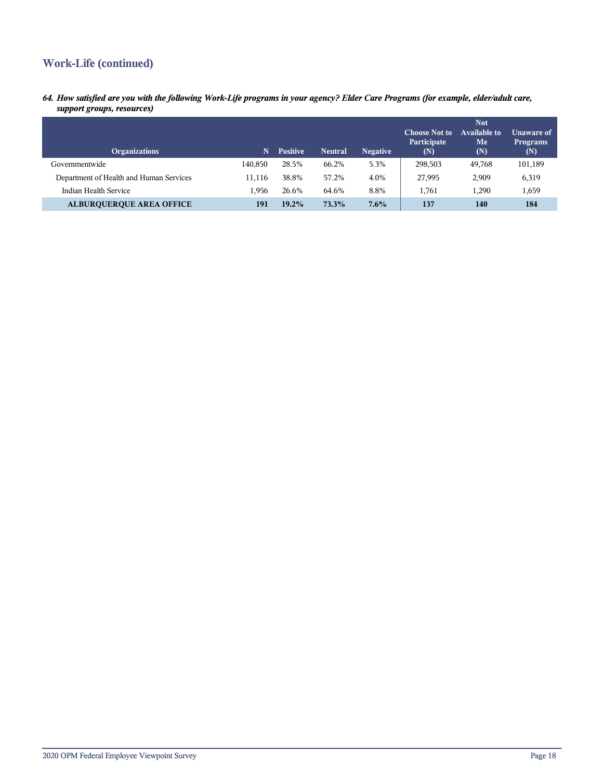## **Work-Life (continued)**

*64. How satisfied are you with the following Work-Life programs in your agency? Elder Care Programs (for example, elder/adult care, support groups, resources)*

| <b>Organizations</b>                    | N       | <b>Positive</b> | <b>Neutral</b> | <b>Negative</b> | <b>Choose Not to</b><br>Participate<br>(N) | <b>Not</b><br>Available to<br>Me<br>(N) | Unaware of<br><b>Programs</b><br>(N) |
|-----------------------------------------|---------|-----------------|----------------|-----------------|--------------------------------------------|-----------------------------------------|--------------------------------------|
| Governmentwide                          | 140.850 | 28.5%           | 66.2%          | 5.3%            | 298,503                                    | 49,768                                  | 101,189                              |
| Department of Health and Human Services | 11.116  | 38.8%           | 57.2%          | 4.0%            | 27,995                                     | 2,909                                   | 6,319                                |
| Indian Health Service                   | 1.956   | 26.6%           | 64.6%          | 8.8%            | 1.761                                      | 1,290                                   | 1,659                                |
| <b>ALBURQUERQUE AREA OFFICE</b>         | 191     | 19.2%           | 73.3%          | 7.6%            | 137                                        | 140                                     | 184                                  |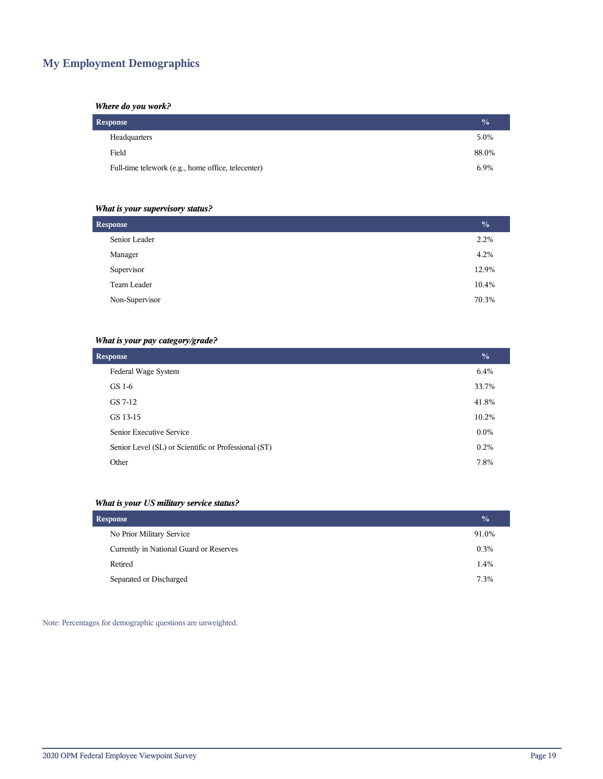## **My Employment Demographics**

## *Where do you work?*

| Response                                           | $\frac{0}{2}$ |
|----------------------------------------------------|---------------|
| Headquarters                                       | 5.0%          |
| Field                                              | 88.0%         |
| Full-time telework (e.g., home office, telecenter) | 6.9%          |

## *What is your supervisory status?*

| <b>Response</b> |       |  |
|-----------------|-------|--|
| Senior Leader   | 2.2%  |  |
| Manager         | 4.2%  |  |
| Supervisor      | 12.9% |  |
| Team Leader     | 10.4% |  |
| Non-Supervisor  | 70.3% |  |
|                 |       |  |

## *What is your pay category/grade?*

| <b>Response</b>                                      | $\frac{0}{0}$ |
|------------------------------------------------------|---------------|
| Federal Wage System                                  | 6.4%          |
| GS 1-6                                               | 33.7%         |
| GS 7-12                                              | 41.8%         |
| GS 13-15                                             | 10.2%         |
| Senior Executive Service                             | $0.0\%$       |
| Senior Level (SL) or Scientific or Professional (ST) | 0.2%          |
| Other                                                | 7.8%          |

## *What is your US military service status?*

| <b>Response</b>                         | $\frac{0}{0}$ |
|-----------------------------------------|---------------|
| No Prior Military Service               | 91.0%         |
| Currently in National Guard or Reserves | 0.3%          |
| Retired                                 | 1.4%          |
| Separated or Discharged                 | 7.3%          |

Note: Percentages for demographic questions are unweighted.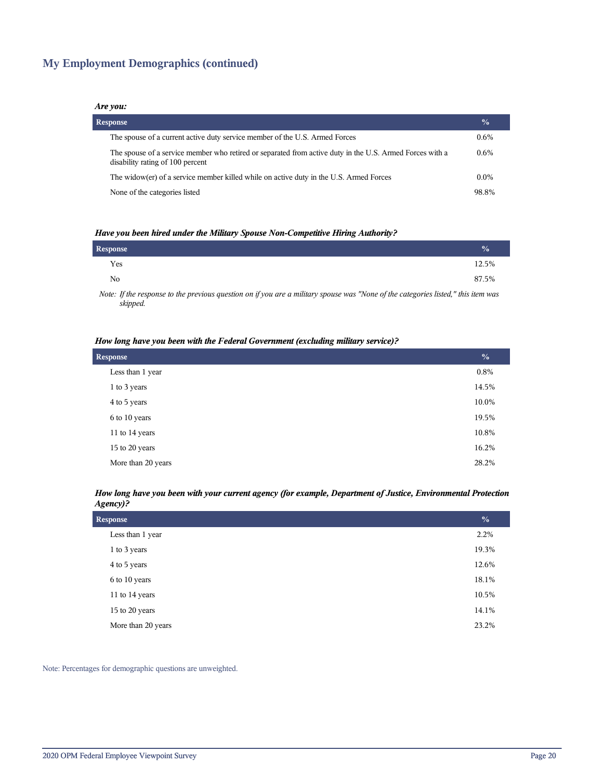## **My Employment Demographics (continued)**

#### *Are you:*

| <b>Response</b>                                                                                                                              | $\frac{0}{0}$ |
|----------------------------------------------------------------------------------------------------------------------------------------------|---------------|
| The spouse of a current active duty service member of the U.S. Armed Forces                                                                  | $0.6\%$       |
| The spouse of a service member who retired or separated from active duty in the U.S. Armed Forces with a<br>disability rating of 100 percent | $0.6\%$       |
| The widow(er) of a service member killed while on active duty in the U.S. Armed Forces                                                       | $0.0\%$       |
| None of the categories listed                                                                                                                | 98.8%         |

#### *Have you been hired under the Military Spouse Non-Competitive Hiring Authority?*

| Response |                                                                                                                 |  |          |          |  | $\frac{0}{0}$ |
|----------|-----------------------------------------------------------------------------------------------------------------|--|----------|----------|--|---------------|
| Yes      |                                                                                                                 |  |          |          |  | 12.5%         |
| No       |                                                                                                                 |  |          |          |  | 87.5%         |
| .        | the contract of the contract of the contract of the contract of the contract of the contract of the contract of |  | $\cdots$ | $\cdots$ |  |               |

*Note: If the response to the previous question on if you are a military spouse was "None of the categories listed," this item was skipped.*

#### *How long have you been with the Federal Government (excluding military service)?*

| <b>Response</b>    |         |  |
|--------------------|---------|--|
| Less than 1 year   | $0.8\%$ |  |
| 1 to 3 years       | 14.5%   |  |
| 4 to 5 years       | 10.0%   |  |
| 6 to 10 years      | 19.5%   |  |
| 11 to 14 years     | 10.8%   |  |
| 15 to 20 years     | 16.2%   |  |
| More than 20 years | 28.2%   |  |

#### *How long have you been with your current agency (for example, Department of Justice, Environmental Protection Agency)?*

| <b>Response</b>    |       |  |
|--------------------|-------|--|
| Less than 1 year   | 2.2%  |  |
| 1 to 3 years       | 19.3% |  |
| 4 to 5 years       | 12.6% |  |
| 6 to 10 years      | 18.1% |  |
| 11 to 14 years     | 10.5% |  |
| 15 to 20 years     | 14.1% |  |
| More than 20 years | 23.2% |  |
|                    |       |  |

Note: Percentages for demographic questions are unweighted.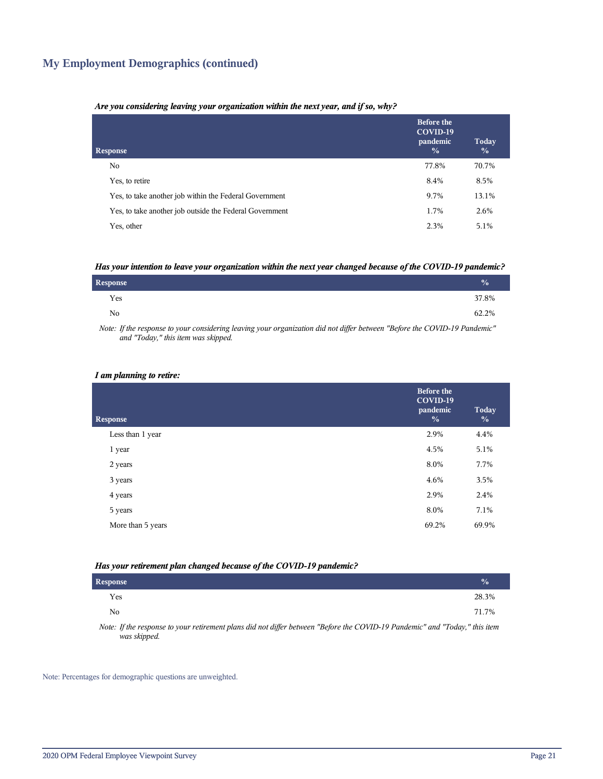## **My Employment Demographics (continued)**

#### *Are you considering leaving your organization within the next year, and if so, why?*

| <b>Response</b>                                         | <b>Before the</b><br>COVID-19<br>pandemic<br>$\frac{0}{0}$ | Today<br>$\frac{0}{0}$ |
|---------------------------------------------------------|------------------------------------------------------------|------------------------|
| No.                                                     | 77.8%                                                      | 70.7%                  |
| Yes, to retire                                          | 8.4%                                                       | 8.5%                   |
| Yes, to take another job within the Federal Government  | 9.7%                                                       | 13.1%                  |
| Yes, to take another job outside the Federal Government | 1.7%                                                       | 2.6%                   |
| Yes, other                                              | 2.3%                                                       | 5.1%                   |

#### *Has your intention to leave your organization within the next year changed because of the COVID-19 pandemic?*

| <b>Response</b> | $\sqrt{0}$ |
|-----------------|------------|
| Yes             | 37.8%      |
| No.             | 62.2%      |

*Note: If the response to your considering leaving your organization did not differ between "Before the COVID-19 Pandemic" and "Today," this item was skipped.*

#### *I am planning to retire:*

| <b>Response</b>   | <b>Before the</b><br>COVID-19<br>pandemic<br>$\frac{0}{0}$ | Today<br>$\frac{0}{0}$ |
|-------------------|------------------------------------------------------------|------------------------|
| Less than 1 year  | 2.9%                                                       | 4.4%                   |
| 1 year            | 4.5%                                                       | 5.1%                   |
| 2 years           | 8.0%                                                       | 7.7%                   |
| 3 years           | 4.6%                                                       | 3.5%                   |
| 4 years           | 2.9%                                                       | 2.4%                   |
| 5 years           | 8.0%                                                       | 7.1%                   |
| More than 5 years | 69.2%                                                      | 69.9%                  |
|                   |                                                            |                        |

#### *Has your retirement plan changed because of the COVID-19 pandemic?*

| <b>Response</b> |  |  |  |  |                                                                                                                                                                                                                                                                                                                   |  | $\frac{0}{0}$ |  |
|-----------------|--|--|--|--|-------------------------------------------------------------------------------------------------------------------------------------------------------------------------------------------------------------------------------------------------------------------------------------------------------------------|--|---------------|--|
| Yes             |  |  |  |  |                                                                                                                                                                                                                                                                                                                   |  | 28.3%         |  |
| No              |  |  |  |  |                                                                                                                                                                                                                                                                                                                   |  | 71.7%         |  |
| $\mathbf{v}$    |  |  |  |  | $\mathcal{L}$ and $\mathcal{L}$ and $\mathcal{L}$ and $\mathcal{L}$ are $\mathcal{L}$ and $\mathcal{L}$ and $\mathcal{L}$ and $\mathcal{L}$ and $\mathcal{L}$ and $\mathcal{L}$ and $\mathcal{L}$ and $\mathcal{L}$ and $\mathcal{L}$ and $\mathcal{L}$ and $\mathcal{L}$ and $\mathcal{L}$ and $\mathcal{L}$ and |  |               |  |

*Note: If the response to your retirement plans did not differ between "Before the COVID-19 Pandemic" and "Today," this item was skipped.*

Note: Percentages for demographic questions are unweighted.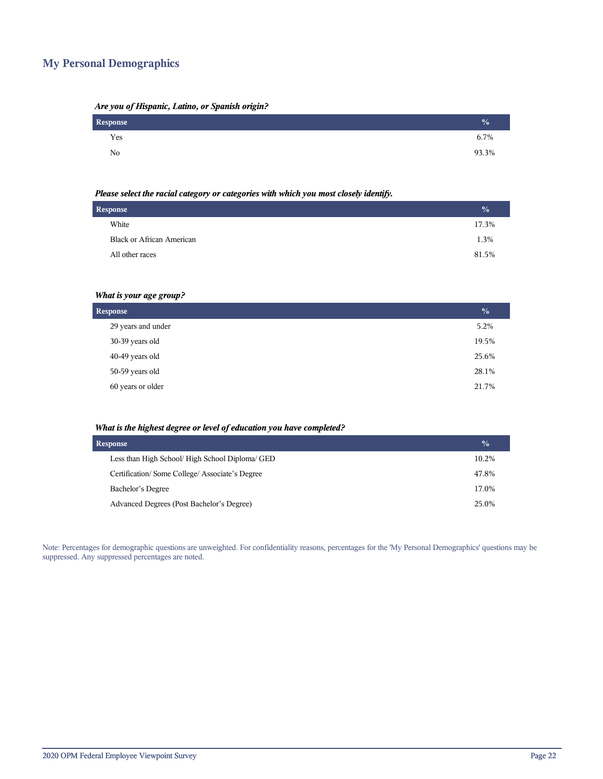## **My Personal Demographics**

| Are you of Hispanic, Latino, or Spanish origin? |  |  |  |
|-------------------------------------------------|--|--|--|
|                                                 |  |  |  |

| Response | $\frac{1}{2}$ |
|----------|---------------|
| Yes      | 6.7%          |
| No       | 93.3%         |

#### *Please select the racial category or categories with which you most closely identify.*

| <b>Response</b> |                                  |       |
|-----------------|----------------------------------|-------|
|                 | White                            | 17.3% |
|                 | <b>Black or African American</b> | 1.3%  |
|                 | All other races                  | 81.5% |
|                 |                                  |       |

## *What is your age group?*

| <b>Response</b>    |       |  |
|--------------------|-------|--|
| 29 years and under | 5.2%  |  |
| 30-39 years old    | 19.5% |  |
| 40-49 years old    | 25.6% |  |
| 50-59 years old    | 28.1% |  |
| 60 years or older  | 21.7% |  |

#### *What is the highest degree or level of education you have completed?*

| <b>Response</b>                                 |       |  |  |  |
|-------------------------------------------------|-------|--|--|--|
| Less than High School/ High School Diploma/ GED | 10.2% |  |  |  |
| Certification/Some College/Associate's Degree   | 47.8% |  |  |  |
| Bachelor's Degree                               | 17.0% |  |  |  |
| Advanced Degrees (Post Bachelor's Degree)       | 25.0% |  |  |  |

Note: Percentages for demographic questions are unweighted. For confidentiality reasons, percentages for the 'My Personal Demographics' questions may be suppressed. Any suppressed percentages are noted.